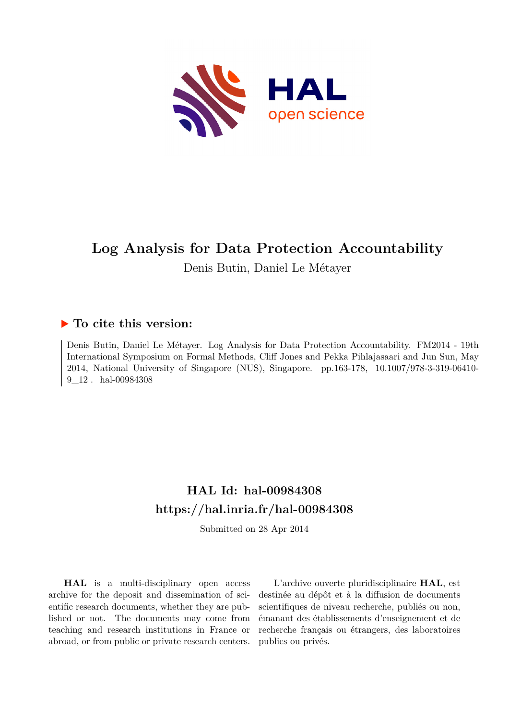

# **Log Analysis for Data Protection Accountability**

Denis Butin, Daniel Le Métayer

# **To cite this version:**

Denis Butin, Daniel Le Métayer. Log Analysis for Data Protection Accountability. FM2014 - 19th International Symposium on Formal Methods, Cliff Jones and Pekka Pihlajasaari and Jun Sun, May 2014, National University of Singapore (NUS), Singapore. pp.163-178, 10.1007/978-3-319-06410-9  $12$ . hal-00984308

# **HAL Id: hal-00984308 <https://hal.inria.fr/hal-00984308>**

Submitted on 28 Apr 2014

**HAL** is a multi-disciplinary open access archive for the deposit and dissemination of scientific research documents, whether they are published or not. The documents may come from teaching and research institutions in France or abroad, or from public or private research centers.

L'archive ouverte pluridisciplinaire **HAL**, est destinée au dépôt et à la diffusion de documents scientifiques de niveau recherche, publiés ou non, émanant des établissements d'enseignement et de recherche français ou étrangers, des laboratoires publics ou privés.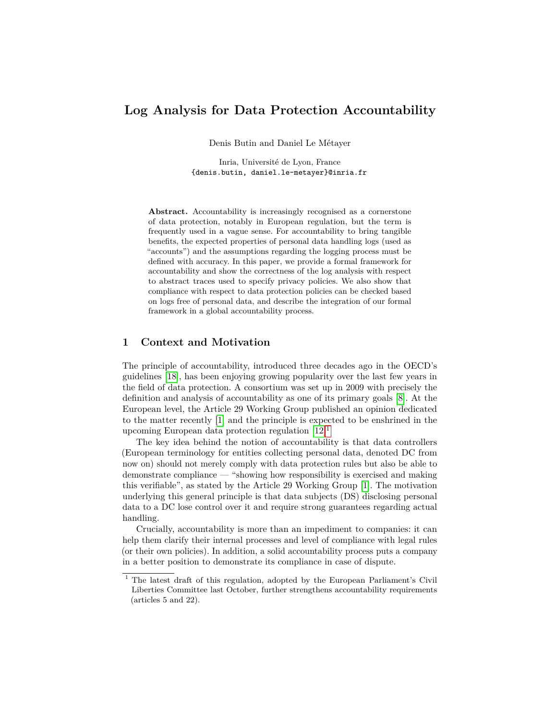# **Log Analysis for Data Protection Accountability**

Denis Butin and Daniel Le Métayer

Inria, Université de Lyon, France {denis.butin, daniel.le-metayer}@inria.fr

**Abstract.** Accountability is increasingly recognised as a cornerstone of data protection, notably in European regulation, but the term is frequently used in a vague sense. For accountability to bring tangible benefits, the expected properties of personal data handling logs (used as "accounts") and the assumptions regarding the logging process must be defined with accuracy. In this paper, we provide a formal framework for accountability and show the correctness of the log analysis with respect to abstract traces used to specify privacy policies. We also show that compliance with respect to data protection policies can be checked based on logs free of personal data, and describe the integration of our formal framework in a global accountability process.

## <span id="page-1-1"></span>**1 Context and Motivation**

The principle of accountability, introduced three decades ago in the OECD's guidelines [\[18\]](#page-16-0), has been enjoying growing popularity over the last few years in the field of data protection. A consortium was set up in 2009 with precisely the definition and analysis of accountability as one of its primary goals [\[8\]](#page-16-1). At the European level, the Article 29 Working Group published an opinion dedicated to the matter recently [\[1\]](#page-15-0) and the principle is expected to be enshrined in the upcoming European data protection regulation  $[12]$  $[12]$  $[12]$ <sup>1</sup>

The key idea behind the notion of accountability is that data controllers (European terminology for entities collecting personal data, denoted DC from now on) should not merely comply with data protection rules but also be able to demonstrate compliance — "showing how responsibility is exercised and making this verifiable", as stated by the Article 29 Working Group [\[1\]](#page-15-0). The motivation underlying this general principle is that data subjects (DS) disclosing personal data to a DC lose control over it and require strong guarantees regarding actual handling.

Crucially, accountability is more than an impediment to companies: it can help them clarify their internal processes and level of compliance with legal rules (or their own policies). In addition, a solid accountability process puts a company in a better position to demonstrate its compliance in case of dispute.

<span id="page-1-0"></span><sup>&</sup>lt;sup>1</sup> The latest draft of this regulation, adopted by the European Parliament's Civil Liberties Committee last October, further strengthens accountability requirements (articles 5 and 22).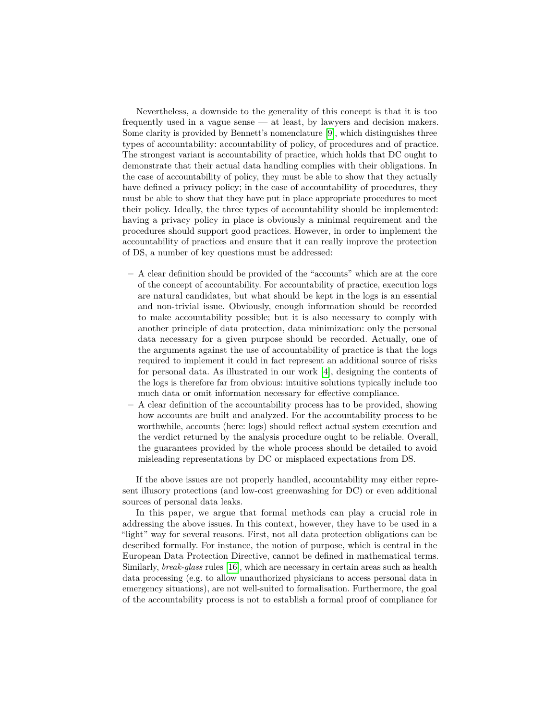Nevertheless, a downside to the generality of this concept is that it is too frequently used in a vague sense — at least, by lawyers and decision makers. Some clarity is provided by Bennett's nomenclature [\[9\]](#page-16-3), which distinguishes three types of accountability: accountability of policy, of procedures and of practice. The strongest variant is accountability of practice, which holds that DC ought to demonstrate that their actual data handling complies with their obligations. In the case of accountability of policy, they must be able to show that they actually have defined a privacy policy; in the case of accountability of procedures, they must be able to show that they have put in place appropriate procedures to meet their policy. Ideally, the three types of accountability should be implemented: having a privacy policy in place is obviously a minimal requirement and the procedures should support good practices. However, in order to implement the accountability of practices and ensure that it can really improve the protection of DS, a number of key questions must be addressed:

- **–** A clear definition should be provided of the "accounts" which are at the core of the concept of accountability. For accountability of practice, execution logs are natural candidates, but what should be kept in the logs is an essential and non-trivial issue. Obviously, enough information should be recorded to make accountability possible; but it is also necessary to comply with another principle of data protection, data minimization: only the personal data necessary for a given purpose should be recorded. Actually, one of the arguments against the use of accountability of practice is that the logs required to implement it could in fact represent an additional source of risks for personal data. As illustrated in our work [\[4\]](#page-16-4), designing the contents of the logs is therefore far from obvious: intuitive solutions typically include too much data or omit information necessary for effective compliance.
- **–** A clear definition of the accountability process has to be provided, showing how accounts are built and analyzed. For the accountability process to be worthwhile, accounts (here: logs) should reflect actual system execution and the verdict returned by the analysis procedure ought to be reliable. Overall, the guarantees provided by the whole process should be detailed to avoid misleading representations by DC or misplaced expectations from DS.

If the above issues are not properly handled, accountability may either represent illusory protections (and low-cost greenwashing for DC) or even additional sources of personal data leaks.

In this paper, we argue that formal methods can play a crucial role in addressing the above issues. In this context, however, they have to be used in a "light" way for several reasons. First, not all data protection obligations can be described formally. For instance, the notion of purpose, which is central in the European Data Protection Directive, cannot be defined in mathematical terms. Similarly, *break-glass* rules [\[16\]](#page-16-5), which are necessary in certain areas such as health data processing (e.g. to allow unauthorized physicians to access personal data in emergency situations), are not well-suited to formalisation. Furthermore, the goal of the accountability process is not to establish a formal proof of compliance for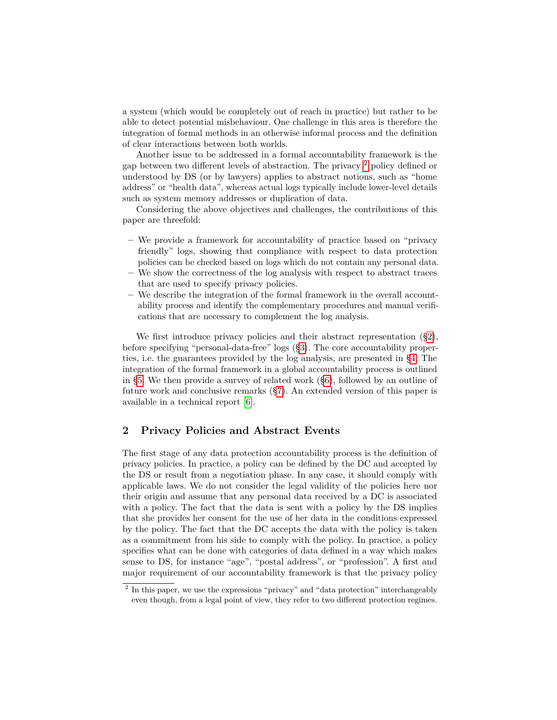a system (which would be completely out of reach in practice) but rather to be able to detect potential misbehaviour. One challenge in this area is therefore the integration of formal methods in an otherwise informal process and the definition of clear interactions between both worlds.

Another issue to be addressed in a formal accountability framework is the gap between two different levels of abstraction. The privacy  $2$  policy defined or understood by DS (or by lawyers) applies to abstract notions, such as "home address" or "health data", whereas actual logs typically include lower-level details such as system memory addresses or duplication of data.

Considering the above objectives and challenges, the contributions of this paper are threefold:

- **–** We provide a framework for accountability of practice based on "privacy friendly" logs, showing that compliance with respect to data protection policies can be checked based on logs which do not contain any personal data.
- **–** We show the correctness of the log analysis with respect to abstract traces that are used to specify privacy policies.
- **–** We describe the integration of the formal framework in the overall accountability process and identify the complementary procedures and manual verifications that are necessary to complement the log analysis.

We first introduce privacy policies and their abstract representation  $(\S2)$ , before specifying "personal-data-free" logs ([§3\)](#page-7-0). The core accountability properties, i.e. the guarantees provided by the log analysis, are presented in [§4.](#page-10-0) The integration of the formal framework in a global accountability process is outlined in [§5.](#page-13-0) We then provide a survey of related work ([§6\)](#page-14-0), followed by an outline of future work and conclusive remarks ([§7\)](#page-14-1). An extended version of this paper is available in a technical report [\[6\]](#page-16-6).

# <span id="page-3-1"></span>**2 Privacy Policies and Abstract Events**

The first stage of any data protection accountability process is the definition of privacy policies. In practice, a policy can be defined by the DC and accepted by the DS or result from a negotiation phase. In any case, it should comply with applicable laws. We do not consider the legal validity of the policies here nor their origin and assume that any personal data received by a DC is associated with a policy. The fact that the data is sent with a policy by the DS implies that she provides her consent for the use of her data in the conditions expressed by the policy. The fact that the DC accepts the data with the policy is taken as a commitment from his side to comply with the policy. In practice, a policy specifies what can be done with categories of data defined in a way which makes sense to DS, for instance "age", "postal address", or "profession". A first and major requirement of our accountability framework is that the privacy policy

<span id="page-3-0"></span><sup>&</sup>lt;sup>2</sup> In this paper, we use the expressions "privacy" and "data protection" interchangeably even though, from a legal point of view, they refer to two different protection regimes.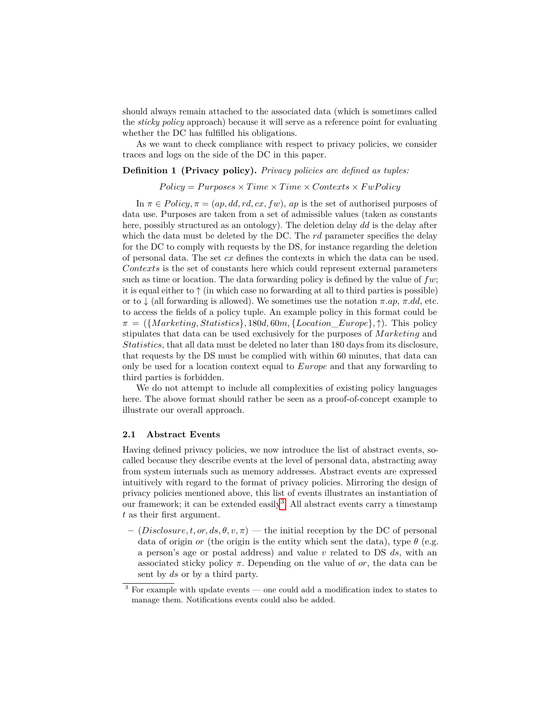should always remain attached to the associated data (which is sometimes called the *sticky policy* approach) because it will serve as a reference point for evaluating whether the DC has fulfilled his obligations.

As we want to check compliance with respect to privacy policies, we consider traces and logs on the side of the DC in this paper.

#### **Definition 1 (Privacy policy).** *Privacy policies are defined as tuples:*

 $Policy = Purposes \times Time \times Time \times Contents \times FwPolicy$ 

In  $\pi \in Policy, \pi = (ap, dd, rd, cx, fw), ap$  is the set of authorised purposes of data use. Purposes are taken from a set of admissible values (taken as constants here, possibly structured as an ontology). The deletion delay *dd* is the delay after which the data must be deleted by the DC. The *rd* parameter specifies the delay for the DC to comply with requests by the DS, for instance regarding the deletion of personal data. The set *cx* defines the contexts in which the data can be used. *Contexts* is the set of constants here which could represent external parameters such as time or location. The data forwarding policy is defined by the value of  $fw$ ; it is equal either to  $\uparrow$  (in which case no forwarding at all to third parties is possible) or to  $\downarrow$  (all forwarding is allowed). We sometimes use the notation  $\pi.a p$ ,  $\pi.d d$ , etc. to access the fields of a policy tuple. An example policy in this format could be *π* = ({*M arketing, Statistics*}*,* 180*d,* 60*m,* {*Location*\_*Europe*}*,* ↑). This policy stipulates that data can be used exclusively for the purposes of *M arketing* and *Statistics*, that all data must be deleted no later than 180 days from its disclosure, that requests by the DS must be complied with within 60 minutes, that data can only be used for a location context equal to *Europe* and that any forwarding to third parties is forbidden.

We do not attempt to include all complexities of existing policy languages here. The above format should rather be seen as a proof-of-concept example to illustrate our overall approach.

#### **2.1 Abstract Events**

Having defined privacy policies, we now introduce the list of abstract events, socalled because they describe events at the level of personal data, abstracting away from system internals such as memory addresses. Abstract events are expressed intuitively with regard to the format of privacy policies. Mirroring the design of privacy policies mentioned above, this list of events illustrates an instantiation of our framework; it can be extended easily<sup>[3](#page-4-0)</sup>. All abstract events carry a timestamp *t* as their first argument.

 $-$  (*Disclosure, t, or, ds,*  $\theta$ *, v,*  $\pi$ ) — the initial reception by the DC of personal data of origin *or* (the origin is the entity which sent the data), type  $\theta$  (e.g. a person's age or postal address) and value *v* related to DS *ds*, with an associated sticky policy  $\pi$ . Depending on the value of *or*, the data can be sent by *ds* or by a third party.

<span id="page-4-0"></span> $3$  For example with update events — one could add a modification index to states to manage them. Notifications events could also be added.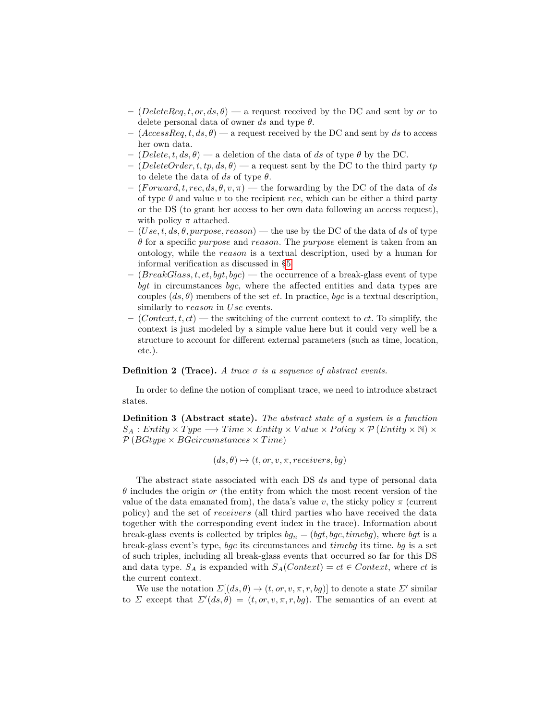- **–** (*DeleteReq, t, or, ds, θ*) a request received by the DC and sent by *or* to delete personal data of owner *ds* and type *θ*.
- **–** (*AccessReq, t, ds, θ*) a request received by the DC and sent by *ds* to access her own data.
- **–** (*Delete, t, ds, θ*) a deletion of the data of *ds* of type *θ* by the DC.
- $-$  (*DeleteOrder, t, tp, ds,*  $\theta$ ) a request sent by the DC to the third party *tp* to delete the data of *ds* of type *θ*.
- $-$  (*Forward, t, rec, ds,*  $\theta$ *, v,*  $\pi$ *)* the forwarding by the DC of the data of *ds* of type  $\theta$  and value *v* to the recipient *rec*, which can be either a third party or the DS (to grant her access to her own data following an access request), with policy  $\pi$  attached.
- **–** (*Use, t, ds, θ, purpose, reason*) the use by the DC of the data of *ds* of type *θ* for a specific *purpose* and *reason*. The *purpose* element is taken from an ontology, while the *reason* is a textual description, used by a human for informal verification as discussed in [§5.](#page-13-0)
- **–** (*BreakGlass, t, et, bgt, bgc*) the occurrence of a break-glass event of type *bgt* in circumstances *bgc*, where the affected entities and data types are couples  $(ds, \theta)$  members of the set *et*. In practice, *bgc* is a textual description, similarly to *reason* in *Use* events.
- **–** (*Context, t, ct*) the switching of the current context to *ct*. To simplify, the context is just modeled by a simple value here but it could very well be a structure to account for different external parameters (such as time, location, etc.).

**Definition 2 (Trace).** *A trace*  $\sigma$  *is a sequence of abstract events.* 

In order to define the notion of compliant trace, we need to introduce abstract states.

**Definition 3 (Abstract state).** *The abstract state of a system is a function*  $S_A$ : *Entity* × *Type*  $\longrightarrow$  *Time* × *Entity* × *Value* × *Policy* × *P* (*Entity* × N) × P (*BGtype* × *BGcircumstances* × *T ime*)

$$
(ds, \theta) \mapsto (t, or, v, \pi, receives, bg)
$$

The abstract state associated with each DS *ds* and type of personal data *θ* includes the origin *or* (the entity from which the most recent version of the value of the data emanated from), the data's value *v*, the sticky policy  $\pi$  (current policy) and the set of *receivers* (all third parties who have received the data together with the corresponding event index in the trace). Information about break-glass events is collected by triples  $b g_n = (b g t, b g c, time b g)$ , where *bgt* is a break-glass event's type, *bgc* its circumstances and *timebg* its time. *bg* is a set of such triples, including all break-glass events that occurred so far for this DS and data type.  $S_A$  is expanded with  $S_A(Context) = ct \in Context$ , where *ct* is the current context.

We use the notation  $\Sigma[(ds, \theta) \to (t, or, v, \pi, r, bg)]$  to denote a state  $\Sigma'$  similar to *Σ* except that  $\mathcal{Z}'(ds,\theta) = (t, or, v, \pi, r, bg)$ . The semantics of an event at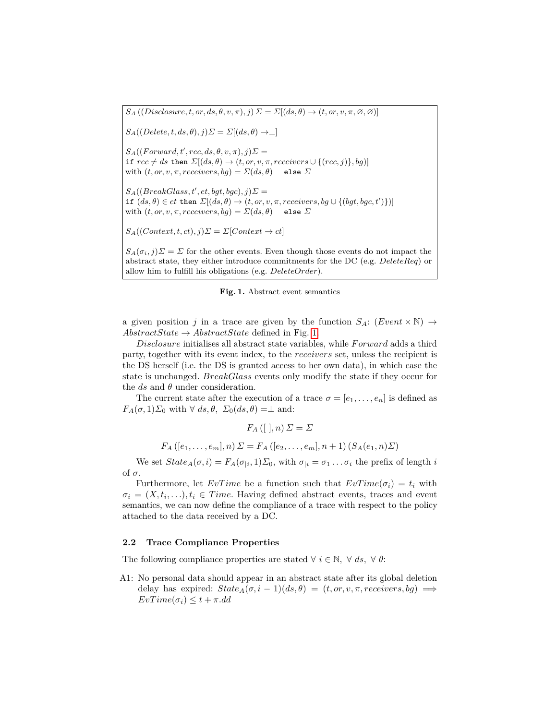$S_A((Disclosure, t, or, ds, \theta, v, \pi), j) \Sigma = \Sigma[(ds, \theta) \rightarrow (t, or, v, \pi, \emptyset, \emptyset)]$ *SA*((*Delete, t, ds, θ*)*, j*)*Σ* = *Σ*[(*ds, θ*) →⊥]  $S_A((Forward, t', rec, ds, \theta, v, \pi), j) \Sigma =$ if  $rec \neq ds$  then  $\Sigma[(ds, \theta) \rightarrow (t, or, v, \pi, receives \cup \{(rec, j)\}, bg)]$ with  $(t, or, v, \pi, receives, bg) = \Sigma(ds, \theta)$  else  $\Sigma$  $S_A((BreakGlass, t', et, bgt, bgc), j) \Sigma =$  $\texttt{if} \ (ds,\theta) \in \textit{et} \ \texttt{then} \ \Sigma[(ds,\theta) \rightarrow (t, or, v, \pi, \textit{recivers}, bg \cup \{(bgt, bgc, t')\})]$ with  $(t, or, v, \pi, receives, bq) = \Sigma(ds, \theta)$  else  $\Sigma$  $S_A((Context, t, ct), j)$ *Σ* = *Σ*[*Context* → *ct*]  $S_A(\sigma_i, j)$ *Σ* = *Σ* for the other events. Even though those events do not impact the abstract state, they either introduce commitments for the DC (e.g. *DeleteReq*) or allow him to fulfill his obligations (e.g. *DeleteOrder*).

<span id="page-6-0"></span>**Fig. 1.** Abstract event semantics

a given position *j* in a trace are given by the function  $S_A$ : (*Event*  $\times N$ )  $\rightarrow$  $AbstractState \rightarrow AbstractState$  defined in Fig. [1.](#page-6-0)

*Disclosure* initialises all abstract state variables, while *F orward* adds a third party, together with its event index, to the *receivers* set, unless the recipient is the DS herself (i.e. the DS is granted access to her own data), in which case the state is unchanged. *BreakGlass* events only modify the state if they occur for the *ds* and *θ* under consideration.

The current state after the execution of a trace  $\sigma = [e_1, \ldots, e_n]$  is defined as  $F_A(\sigma, 1)\Sigma_0$  with  $\forall ds, \theta, \Sigma_0(ds, \theta) = \perp$  and:

 $F_A$  ([ ]*, n*)  $\Sigma = \Sigma$ 

 $F_A([e_1, \ldots, e_m], n) \Sigma = F_A([e_2, \ldots, e_m], n+1) (S_A(e_1, n) \Sigma)$ 

We set  $State_A(\sigma, i) = F_A(\sigma_i, 1) \Sigma_0$ , with  $\sigma_i = \sigma_1 \dots \sigma_i$  the prefix of length *i* of *σ*.

Furthermore, let  $EvTime$  be a function such that  $EvTime(\sigma_i) = t_i$  with  $\sigma_i = (X, t_i, \ldots), t_i \in Time$ . Having defined abstract events, traces and event semantics, we can now define the compliance of a trace with respect to the policy attached to the data received by a DC.

#### **2.2 Trace Compliance Properties**

The following compliance properties are stated  $\forall i \in \mathbb{N}, \forall ds, \forall \theta$ :

A1: No personal data should appear in an abstract state after its global deletion delay has expired:  $State_A(\sigma, i-1)(ds, \theta) = (t, or, v, \pi, receiver, bg) \implies$  $EvTime(\sigma_i) \leq t + \pi.dd$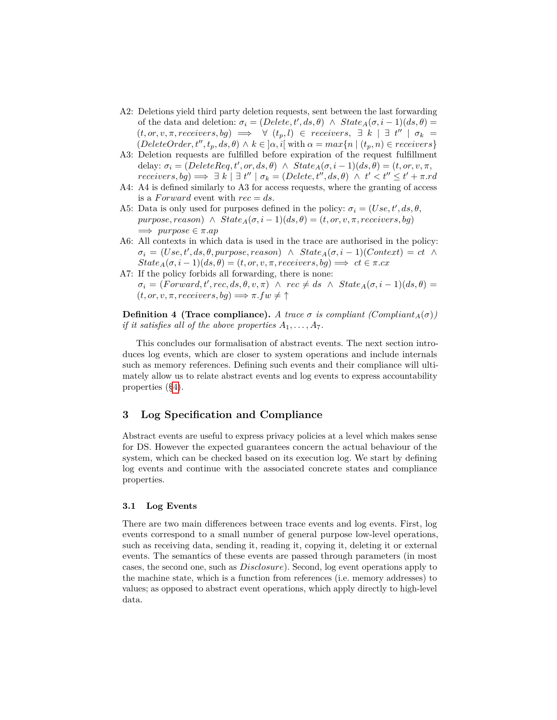- A2: Deletions yield third party deletion requests, sent between the last forwarding of the data and deletion:  $\sigma_i = (Delete, t', ds, \theta) \land State_A(\sigma, i - 1)(ds, \theta) =$  $(t, or, v, \pi, receives, bg) \implies \forall (t_p, l) \in receives, \exists k \mid \exists t'' \mid \sigma_k =$  $(DeleteOrder, t'', t_p, ds, \theta) \wedge k \in ]\alpha, i[$  with  $\alpha = max\{n \mid (t_p, n) \in receivers\}$
- A3: Deletion requests are fulfilled before expiration of the request fulfillment delay:  $\sigma_i = (DeleteReg, t', or, ds, \theta) \land State_A(\sigma, i - 1)(ds, \theta) = (t, or, v, \pi,$  $r$ *receivers, bg*)  $\implies \exists k \mid \exists t'' \mid \sigma_k = (Delete, t'', ds, \theta) \land t' < t'' \leq t' + \pi . rd$
- A4: A4 is defined similarly to A3 for access requests, where the granting of access is a *Forward* event with  $rec = ds$ .
- A5: Data is only used for purposes defined in the policy:  $\sigma_i = (Use, t', ds, \theta, \theta)$  $purpose, reason) \wedge State_A(\sigma, i-1)(ds, \theta) = (t, or, v, \pi, receives, bg)$  $\implies$  purpose  $\in \pi$ .ap
- A6: All contexts in which data is used in the trace are authorised in the policy:  $\sigma_i = (Use, t', ds, \theta, purpose, reason) \land State_A(\sigma, i - 1)(Context) = ct \land$  $State_A(\sigma, i-1)(ds, \theta) = (t, or, v, \pi, receives, bg) \implies ct \in \pi$ .cx
- A7: If the policy forbids all forwarding, there is none:  $\sigma_i = (Forward, t', rec, ds, \theta, v, \pi) \land rec \neq ds \land State_A(\sigma, i - 1)(ds, \theta) =$  $(t, or, v, \pi, receives, bg) \Longrightarrow \pi.fw \neq \uparrow$

**Definition 4 (Trace compliance).** *A trace*  $\sigma$  *is compliant* (*Compliant<sub>A</sub>*( $\sigma$ )*) if it satisfies all of the above properties*  $A_1, \ldots, A_7$ .

This concludes our formalisation of abstract events. The next section introduces log events, which are closer to system operations and include internals such as memory references. Defining such events and their compliance will ultimately allow us to relate abstract events and log events to express accountability properties ([§4\)](#page-10-0).

# <span id="page-7-0"></span>**3 Log Specification and Compliance**

Abstract events are useful to express privacy policies at a level which makes sense for DS. However the expected guarantees concern the actual behaviour of the system, which can be checked based on its execution log. We start by defining log events and continue with the associated concrete states and compliance properties.

### **3.1 Log Events**

There are two main differences between trace events and log events. First, log events correspond to a small number of general purpose low-level operations, such as receiving data, sending it, reading it, copying it, deleting it or external events. The semantics of these events are passed through parameters (in most cases, the second one, such as *Disclosure*). Second, log event operations apply to the machine state, which is a function from references (i.e. memory addresses) to values; as opposed to abstract event operations, which apply directly to high-level data.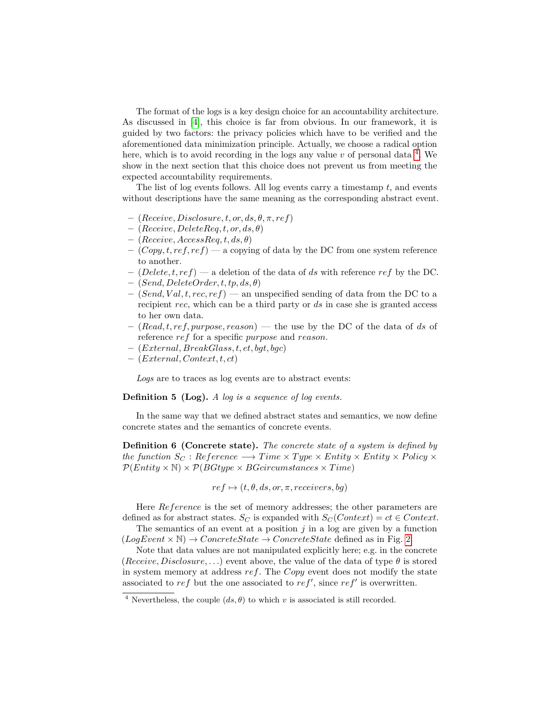The format of the logs is a key design choice for an accountability architecture. As discussed in [\[4\]](#page-16-4), this choice is far from obvious. In our framework, it is guided by two factors: the privacy policies which have to be verified and the aforementioned data minimization principle. Actually, we choose a radical option here, which is to avoid recording in the logs any value  $v$  of personal data  $\frac{4}{3}$  $\frac{4}{3}$  $\frac{4}{3}$ . We show in the next section that this choice does not prevent us from meeting the expected accountability requirements.

The list of log events follows. All log events carry a timestamp *t*, and events without descriptions have the same meaning as the corresponding abstract event.

- **–** (*Receive, Disclosure, t, or, ds, θ, π, ref*)
- **–** (*Receive, DeleteReq, t, or, ds, θ*)
- **–** (*Receive, AccessReq, t, ds, θ*)
- **–** (*Copy, t, ref, ref*) a copying of data by the DC from one system reference to another.
- **–** (*Delete, t, ref*) a deletion of the data of *ds* with reference *ref* by the DC.
- **–** (*Send, DeleteOrder, t, tp, ds, θ*)
- **–** (*Send, V al, t, rec, ref*) an unspecified sending of data from the DC to a recipient *rec*, which can be a third party or *ds* in case she is granted access to her own data.
- **–** (*Read, t, ref, purpose, reason*) the use by the DC of the data of *ds* of reference *ref* for a specific *purpose* and *reason*.
- **–** (*External, BreakGlass, t, et, bgt, bgc*)
- **–** (*External, Context, t, ct*)

*Logs* are to traces as log events are to abstract events:

**Definition 5 (Log).** *A log is a sequence of log events.*

In the same way that we defined abstract states and semantics, we now define concrete states and the semantics of concrete events.

**Definition 6 (Concrete state).** *The concrete state of a system is defined by the function*  $S_C$ :  $Reference \longrightarrow Time \times Type \times Entity \times Entity \times Policy \times$  $P(Entity \times N) \times P(BGtype \times BGcircumstances \times Time)$ 

$$
ref \mapsto (t, \theta, ds, or, \pi, receives, bg)
$$

Here *Reference* is the set of memory addresses; the other parameters are defined as for abstract states.  $S_C$  is expanded with  $S_C(Context) = ct \in Context$ .

The semantics of an event at a position  $j$  in a log are given by a function  $(LogEvent \times N) \rightarrow ConcreteState \rightarrow ConcreteState$  defined as in Fig. [2.](#page-9-0)

Note that data values are not manipulated explicitly here; e.g. in the concrete (*Receive, Disclosure,...*) event above, the value of the data of type  $\theta$  is stored in system memory at address *ref*. The *Copy* event does not modify the state associated to *ref* but the one associated to *ref*′ , since *ref*′ is overwritten.

<span id="page-8-0"></span><sup>&</sup>lt;sup>4</sup> Nevertheless, the couple  $(ds, \theta)$  to which *v* is associated is still recorded.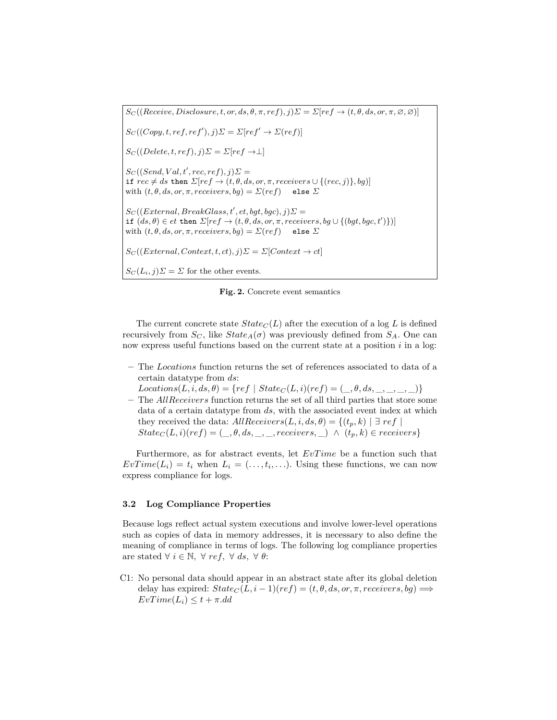$S_C((Receive, Disclosure, t, or, ds, θ, π, ref), j)Σ = Σ[ref → (t, θ, ds, or, π, ∅, ∅)]$  $S_C((Copy, t, ref, ref'), j) \Sigma = \Sigma[ref' \rightarrow \Sigma(ref)]$  $S_C$  ((*Delete, t, ref*)*, j*)*Σ* = *Σ*[*ref* →⊥]  $S_C((Send, Val, t', rec, ref), j) \Sigma =$ if  $rec \neq ds$  then  $\Sigma[ref \rightarrow (t, \theta, ds, or, \pi, receives \cup \{(rec, j)\}, bg)]$ with  $(t, \theta, ds, or, \pi, receives, bq) = \Sigma(ref)$  else  $\Sigma$  $S_C((External, BreakGlass, t', et, bgt, bgc), j) \Sigma =$ if  $(ds, \theta) \in et$  then  $\Sigma[ref \to (t, \theta, ds, or, \pi, receives, bg \cup \{(bgt, bgc, t')\})]$ with  $(t, \theta, ds, or, \pi, receives, bg) = \Sigma (ref)$  else  $\Sigma$  $S_C((External, Context, t, ct), j)$  $\Sigma = \Sigma[Context + ct]$  $S_C(L_i, j) \Sigma = \Sigma$  for the other events.

<span id="page-9-0"></span>**Fig. 2.** Concrete event semantics

The current concrete state  $State_C(L)$  after the execution of a log *L* is defined recursively from  $S_C$ , like  $State_A(\sigma)$  was previously defined from  $S_A$ . One can now express useful functions based on the current state at a position *i* in a log:

- **–** The *Locations* function returns the set of references associated to data of a certain datatype from *ds*:
	- $Locations(L, i, ds, \theta) = \{ref \mid State_C(L, i)(ref) = (\_, \theta, ds, \_, \_, \_, \_\})\}$
- **–** The *AllReceivers* function returns the set of all third parties that store some data of a certain datatype from *ds*, with the associated event index at which they received the data:  $AllReceivers(L, i, ds, \theta) = \{(t_p, k) | \exists ref |$  $State_C(L, i)(ref) = (\_, \theta, ds, \_, \_, receivers, \_) \land (t_p, k) \in receivers$

Furthermore, as for abstract events, let  $EvTime$  be a function such that  $EvTime(L_i) = t_i$  when  $L_i = (..., t_i, ...)$ . Using these functions, we can now express compliance for logs.

#### **3.2 Log Compliance Properties**

Because logs reflect actual system executions and involve lower-level operations such as copies of data in memory addresses, it is necessary to also define the meaning of compliance in terms of logs. The following log compliance properties are stated  $\forall i \in \mathbb{N}, \forall ref, \forall ds, \forall \theta$ :

C1: No personal data should appear in an abstract state after its global deletion delay has expired:  $State_C(L, i-1)(ref) = (t, \theta, ds, or, \pi, receiver, bg) \implies$  $EvTime(L_i) \leq t + \pi$ .dd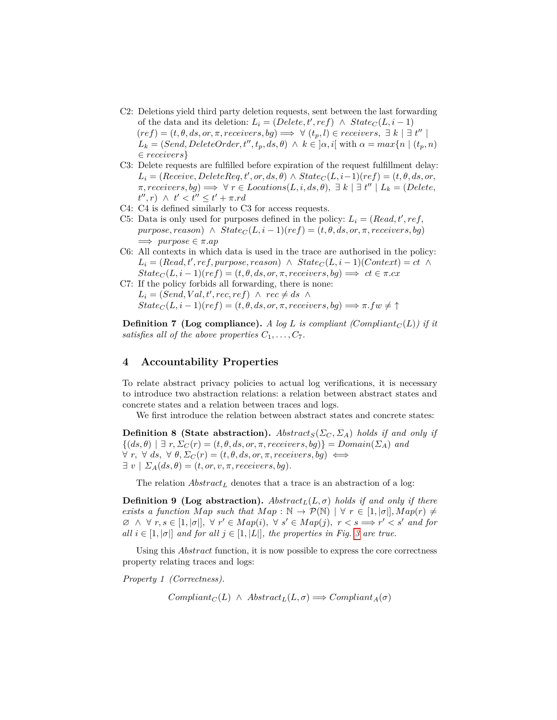- C2: Deletions yield third party deletion requests, sent between the last forwarding of the data and its deletion:  $L_i = (Delete, t', ref) \land State_C(L, i - 1)$  $(ref) = (t, \theta, ds, or, \pi, receives, bg) \Longrightarrow \forall (t_p, l) \in receivers, \exists k \mid \exists t'' \mid$  $L_k = (Send, DeleteOrder, t'', t_p, ds, \theta) \land k \in [\alpha, i] \text{ with } \alpha = max\{n \mid (t_p, n) \}$ ∈ *receivers*}
- C3: Delete requests are fulfilled before expiration of the request fulfillment delay:  $L_i = (Received, DeleteReg, t', or, ds, \theta) \wedge State_C(L, i-1)(ref) = (t, \theta, ds, or,$  $\pi,$  *receivers, bg*)  $\implies \forall r \in \text{Locations}(L, i, ds, \theta), \exists k \mid \exists t'' \mid L_k = (\text{Delete},$  $t'', r$   $\wedge$   $t' < t'' \leq t' + \pi . rd$
- C4: C4 is defined similarly to C3 for access requests.
- C5: Data is only used for purposes defined in the policy:  $L_i = (Read, t', ref, t')$  $purpose, reason) \wedge State_C(L, i-1)(ref) = (t, \theta, ds, or, \pi, receivers, bg)$  $\implies$  *purpose*  $\in \pi.ap$
- C6: All contexts in which data is used in the trace are authorised in the policy:  $L_i = (Read, t', ref, purpose, reason) \land State_C(L, i - 1)(Context) = ct \land$  $State_C(L, i-1)(ref) = (t, \theta, ds, or, \pi, receives, bg) \Longrightarrow ct \in \pi$ .cx
- C7: If the policy forbids all forwarding, there is none:  $L_i = (Send, Val, t', rec, ref) \land rec \neq ds \land$  $State_C(L, i-1)(ref) = (t, \theta, ds, or, \pi, receives, bg) \Longrightarrow \pi.fw \neq \uparrow$

**Definition 7 (Log compliance).** *A log L is compliant (Compliant<sub>C</sub>(L)) if it satisfies all of the above properties*  $C_1, \ldots, C_7$ .

#### <span id="page-10-0"></span>**4 Accountability Properties**

To relate abstract privacy policies to actual log verifications, it is necessary to introduce two abstraction relations: a relation between abstract states and concrete states and a relation between traces and logs.

We first introduce the relation between abstract states and concrete states:

**Definition 8 (State abstraction).** *Abstract*<sub>*S*</sub>( $\Sigma$ <sub>*C*</sub>, $\Sigma$ <sub>*A*</sub>) *holds if and only if*  $\{(ds, \theta) \mid \exists r, \Sigma_C(r) = (t, \theta, ds, or, \pi, receives, bg)\} = Domain(\Sigma_A)$  and  $\forall r, \forall ds, \forall \theta, \Sigma_C(r) = (t, \theta, ds, or, \pi, receives, bg) \iff$  $\exists v \mid \Sigma_A(ds, \theta) = (t, or, v, \pi, receiveors, bg).$ 

The relation  $Abstract<sub>L</sub>$  denotes that a trace is an abstraction of a log:

**Definition 9 (Log abstraction).**  $Abstract<sub>L</sub>(L, \sigma)$  holds if and only if there *exists a function Map such that*  $Map : \mathbb{N} \to \mathcal{P}(\mathbb{N}) \mid \forall r \in [1, |\sigma|]$ ,  $Map(r) \neq$  $\emptyset \land \forall r, s \in [1, |\sigma|], \forall r' \in Map(i), \forall s' \in Map(j), r < s \Longrightarrow r' < s' \text{ and for}$  $all \ i \in [1, |\sigma|]$  *and for all*  $j \in [1, |L|]$ *, the properties in Fig. 3 are true.* 

Using this *Abstract* function, it is now possible to express the core correctness property relating traces and logs:

*Property 1 (Correctness).*

 $Compliant_C(L) \wedge Abstract_L(L, \sigma) \Longrightarrow Compliant_A(\sigma)$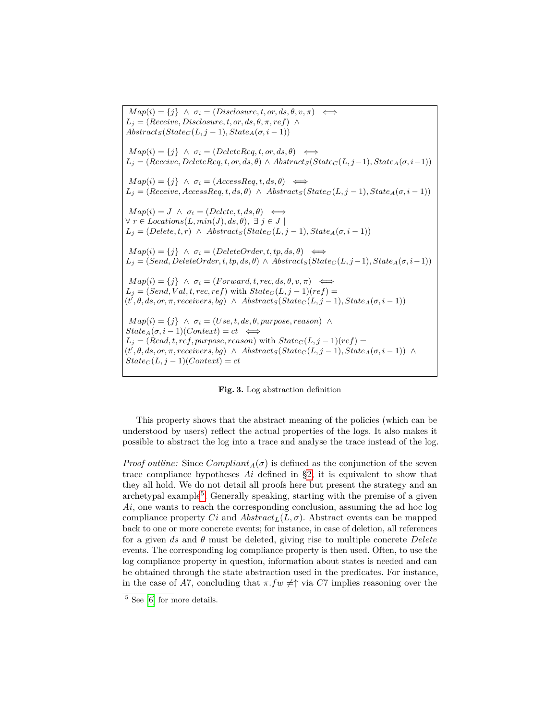$Map(i) = \{j\} \land \sigma_i = (Disclosure, t, or, ds, \theta, v, \pi) \iff$  $L_i = (Receive, Disclosure, t, or, ds, \theta, \pi, ref) \wedge$  $Abstract_S(State_C(L, i-1), State_A(\sigma, i-1))$  $Map(i) = \{i\} \land \sigma_i = (DeleteReg, t, or, ds, \theta) \iff$  $L_j = (Receive, DeleteReg, t, or, ds, \theta) \wedge Abstract_S(State_C(L, j-1), State_A(\sigma, i-1))$  $Map(i) = \{j\} \land \sigma_i = (AccessReg, t, ds, \theta) \iff$  $L_j = (Receive, AccessReg, t, ds, \theta) \wedge Abstracts(State_C (L, j - 1), State_A(\sigma, i - 1))$  $Map(i) = J \land \sigma_i = (Delete, t, ds, \theta) \iff$  $\forall r \in Locations(L, min(J), ds, \theta), \exists j \in J$  $L_i = (Delete, t, r) \land Abstracts(State_C (L, j - 1), State_A(\sigma, i - 1))$  $Map(i) = \{j\} \land \sigma_i = (DeleteOrder, t, tp, ds, \theta) \iff$  $L_j = (Send, DeleteOrder, t, tp, ds, \theta) \wedge Abstracts(State_C (L, j-1), State_A(\sigma, i-1))$  $Map(i) = \{j\} \land \sigma_i = (Forward, t, rec, ds, \theta, v, \pi) \iff$  $L_j = (Send, Val, t, rec, ref)$  with  $State_C(L, j - 1)(ref) =$  $(t^{\prime}, \theta, ds, or, \pi, receiveers, bg) \land Abstracts(State_C(L, j-1), State_A(\sigma, i-1))$  $Map(i) = \{j\} \land \sigma_i = (Use, t, ds, \theta, purpose, reason) \land$  $State_A(\sigma, i-1)(Context) = ct \iff$  $L_j = (Read, t, ref, purpose, reason)$  with  $State_C(L, j - 1)(ref) =$  $(t^{\prime}, \theta, ds, or, \pi, receiveors, bg) \land Abstracts(State_C(L, j-1), State_A(\sigma, i-1)) \land$  $State_C(L, j-1)(Context) = ct$ 

<span id="page-11-0"></span>**Fig. 3.** Log abstraction definition

This property shows that the abstract meaning of the policies (which can be understood by users) reflect the actual properties of the logs. It also makes it possible to abstract the log into a trace and analyse the trace instead of the log.

*Proof outline:* Since  $Compliant_A(\sigma)$  is defined as the conjunction of the seven trace compliance hypotheses *Ai* defined in [§2,](#page-3-1) it is equivalent to show that they all hold. We do not detail all proofs here but present the strategy and an archetypal example<sup>[5](#page-11-1)</sup>. Generally speaking, starting with the premise of a given *Ai*, one wants to reach the corresponding conclusion, assuming the ad hoc log compliance property *Ci* and  $Abstract<sub>L</sub>(L, \sigma)$ . Abstract events can be mapped back to one or more concrete events; for instance, in case of deletion, all references for a given *ds* and *θ* must be deleted, giving rise to multiple concrete *Delete* events. The corresponding log compliance property is then used. Often, to use the log compliance property in question, information about states is needed and can be obtained through the state abstraction used in the predicates. For instance, in the case of A7, concluding that  $\pi f w \neq \uparrow$  via C7 implies reasoning over the

<span id="page-11-1"></span> $\overline{5}$  See [\[6\]](#page-16-6) for more details.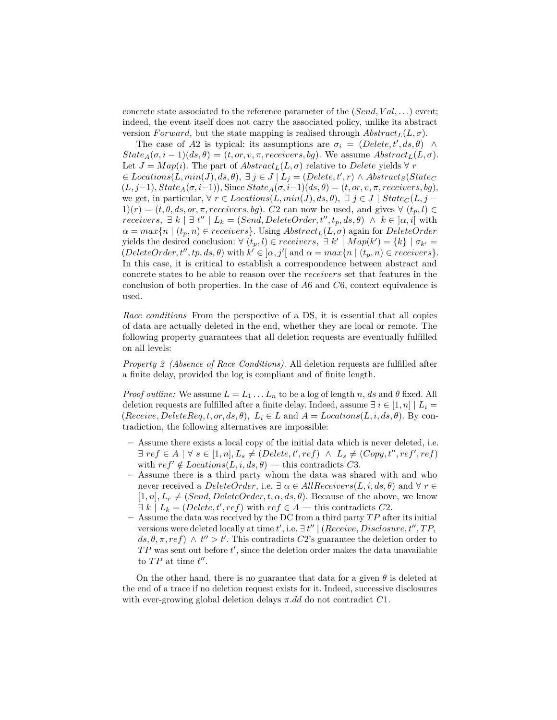concrete state associated to the reference parameter of the (*Send, V al, . . .*) event; indeed, the event itself does not carry the associated policy, unlike its abstract version *Forward*, but the state mapping is realised through  $Abstract_L(L, \sigma)$ .

The case of *A*2 is typical: its assumptions are  $\sigma_i = (Delete, t', ds, \theta) \land$ *State<sub>A</sub>*( $\sigma$ ,  $i - 1$ )( $ds, \theta$ ) = (*t*, *or*, *v*,  $\pi$ , *receivers*, *bg*). We assume *Abstract<sub>L</sub>*(*L*,  $\sigma$ ). Let  $J = Map(i)$ . The part of  $Abstract_L(L, \sigma)$  relative to *Delete* yields  $\forall r$  $\in$  *Locations*(*L, min*(*J*)*, ds,*  $\theta$ )*,*  $\exists$  *j*  $\in$  *J* | *L<sub>j</sub>* = (*Delete,t',r*) ∧ *Abstract<sub>S</sub></sub>*(*State<sub>C</sub>*) (*L, j*−1)*, StateA*(*σ, i*−1)), Since *StateA*(*σ, i*−1)(*ds, θ*) = (*t, or, v, π, receivers, bg*), we get, in particular, ∀ *r* ∈ *Locations*(*L, min*(*J*)*, ds, θ*)*,* ∃ *j* ∈ *J* | *State<sup>C</sup>* (*L, j* −  $1)(r) = (t, \theta, ds, or, \pi, receives, bg)$ . *C*2 can now be used, and gives  $\forall (t_p, l) \in$  $r$ *eceivers,*  $\exists k \mid \exists t'' \mid L_k = (Send, DeleteOrder, t'', t_p, ds, \theta) \land k \in [\alpha, i]$  with  $\alpha = \max\{n \mid (t_p, n) \in receivers\}$ . Using  $Abstract_L(L, \sigma)$  again for *DeleteOrder* yields the desired conclusion:  $\forall$   $(t_p, l) \in receivers$ ,  $\exists k' \mid Map(k') = \{k\} \mid \sigma_{k'} =$  $(DeleteOrder, t'', tp, ds, \theta) \text{ with } k' \in ]\alpha, j'[ \text{ and } \alpha = max\{n \mid (t_p, n) \in receivers \}.$ In this case, it is critical to establish a correspondence between abstract and concrete states to be able to reason over the *receivers* set that features in the conclusion of both properties. In the case of *A*6 and *C*6, context equivalence is used.

*Race conditions* From the perspective of a DS, it is essential that all copies of data are actually deleted in the end, whether they are local or remote. The following property guarantees that all deletion requests are eventually fulfilled on all levels:

*Property 2 (Absence of Race Conditions).* All deletion requests are fulfilled after a finite delay, provided the log is compliant and of finite length.

*Proof outline:* We assume  $L = L_1 \ldots L_n$  to be a log of length *n*, *ds* and  $\theta$  fixed. All deletion requests are fulfilled after a finite delay. Indeed, assume  $\exists i \in [1, n] | L_i =$  $(Received, DeleteReg, t, or, ds, \theta), L_i \in L$  and  $A = Locations(L, i, ds, \theta)$ . By contradiction, the following alternatives are impossible:

- **–** Assume there exists a local copy of the initial data which is never deleted, i.e.  $\exists \text{ref} \in A \mid \forall s \in [1, n], L_s \neq (Delete, t', ref) \land L_s \neq (Copy, t'', ref', ref)$ with  $ref' \notin Locations(L, i, ds, \theta)$  — this contradicts *C*3.
- **–** Assume there is a third party whom the data was shared with and who never received a *DeleteOrder*, i.e.  $\exists \alpha \in AllReceivers(L, i, ds, \theta)$  and  $\forall r \in$  $[1, n], L_r \neq (Send, DeleteOrder, t, \alpha, ds, \theta)$ . Because of the above, we know  $\exists k \mid L_k = (Delete, t', ref) \text{ with } ref \in A \text{ -- this contradicts } C2.$
- **–** Assume the data was received by the DC from a third party *T P* after its initial versions were deleted locally at time *t'*, i.e. ∃ *t''* | (*Receive, Disclosure, t'', TP*,  $ds, \theta, \pi, ref) \wedge t'' > t'$ . This contradicts *C*2's guarantee the deletion order to *T P* was sent out before *t* ′ , since the deletion order makes the data unavailable to  $TP$  at time  $t''$ .

On the other hand, there is no guarantee that data for a given  $\theta$  is deleted at the end of a trace if no deletion request exists for it. Indeed, successive disclosures with ever-growing global deletion delays *π.dd* do not contradict *C*1.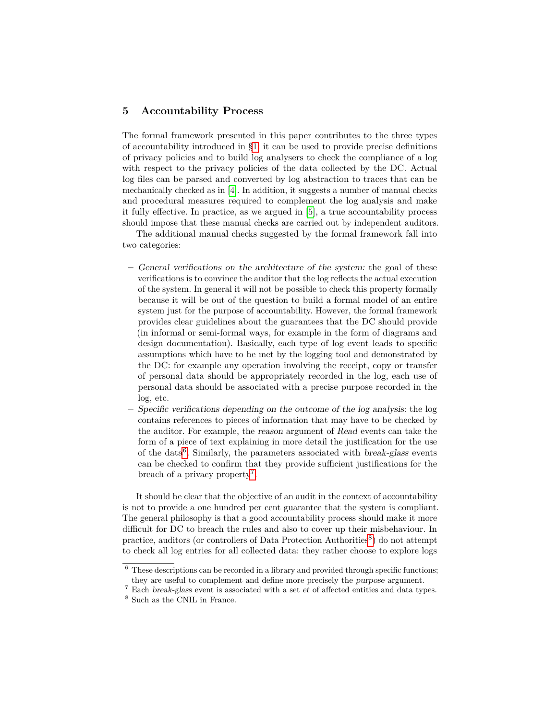### <span id="page-13-0"></span>**5 Accountability Process**

The formal framework presented in this paper contributes to the three types of accountability introduced in [§1:](#page-1-1) it can be used to provide precise definitions of privacy policies and to build log analysers to check the compliance of a log with respect to the privacy policies of the data collected by the DC. Actual log files can be parsed and converted by log abstraction to traces that can be mechanically checked as in [\[4\]](#page-16-4). In addition, it suggests a number of manual checks and procedural measures required to complement the log analysis and make it fully effective. In practice, as we argued in [\[5\]](#page-16-7), a true accountability process should impose that these manual checks are carried out by independent auditors.

The additional manual checks suggested by the formal framework fall into two categories:

- **–** General verifications on the architecture of the system: the goal of these verifications is to convince the auditor that the log reflects the actual execution of the system. In general it will not be possible to check this property formally because it will be out of the question to build a formal model of an entire system just for the purpose of accountability. However, the formal framework provides clear guidelines about the guarantees that the DC should provide (in informal or semi-formal ways, for example in the form of diagrams and design documentation). Basically, each type of log event leads to specific assumptions which have to be met by the logging tool and demonstrated by the DC: for example any operation involving the receipt, copy or transfer of personal data should be appropriately recorded in the log, each use of personal data should be associated with a precise purpose recorded in the log, etc.
- **–** Specific verifications depending on the outcome of the log analysis: the log contains references to pieces of information that may have to be checked by the auditor. For example, the reason argument of Read events can take the form of a piece of text explaining in more detail the justification for the use of the data<sup>[6](#page-13-1)</sup>. Similarly, the parameters associated with break-glass events can be checked to confirm that they provide sufficient justifications for the breach of a privacy property<sup>[7](#page-13-2)</sup>.

It should be clear that the objective of an audit in the context of accountability is not to provide a one hundred per cent guarantee that the system is compliant. The general philosophy is that a good accountability process should make it more difficult for DC to breach the rules and also to cover up their misbehaviour. In practice, auditors (or controllers of Data Protection Authorities<sup>[8](#page-13-3)</sup>) do not attempt to check all log entries for all collected data: they rather choose to explore logs

<span id="page-13-1"></span> $6$  These descriptions can be recorded in a library and provided through specific functions; they are useful to complement and define more precisely the purpose argument.

<span id="page-13-2"></span><sup>&</sup>lt;sup>7</sup> Each break-glass event is associated with a set *et* of affected entities and data types.

<span id="page-13-3"></span><sup>8</sup> Such as the CNIL in France.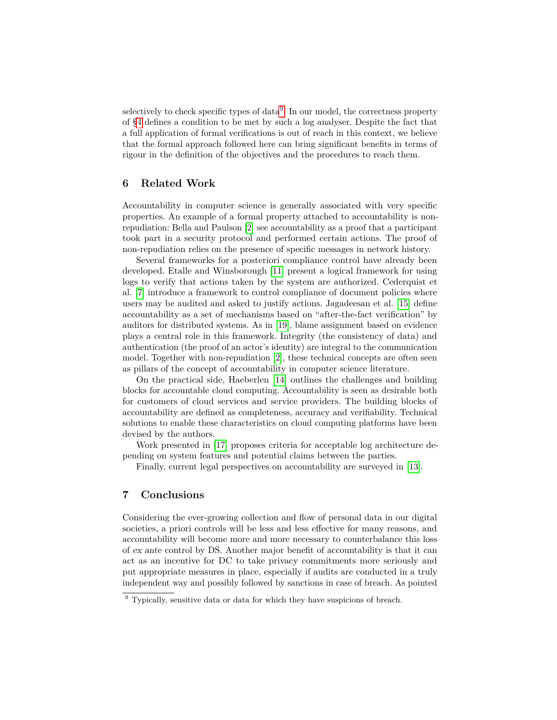selectively to check specific types of data<sup>[9](#page-14-2)</sup>. In our model, the correctness property of [§4](#page-10-0) defines a condition to be met by such a log analyser. Despite the fact that a full application of formal verifications is out of reach in this context, we believe that the formal approach followed here can bring significant benefits in terms of rigour in the definition of the objectives and the procedures to reach them.

## <span id="page-14-0"></span>**6 Related Work**

Accountability in computer science is generally associated with very specific properties. An example of a formal property attached to accountability is nonrepudiation: Bella and Paulson [\[2\]](#page-16-8) see accountability as a proof that a participant took part in a security protocol and performed certain actions. The proof of non-repudiation relies on the presence of specific messages in network history.

Several frameworks for a posteriori compliance control have already been developed. Etalle and Winsborough [\[11\]](#page-16-9) present a logical framework for using logs to verify that actions taken by the system are authorized. Cederquist et al. [\[7\]](#page-16-10) introduce a framework to control compliance of document policies where users may be audited and asked to justify actions. Jagadeesan et al. [\[15\]](#page-16-11) define accountability as a set of mechanisms based on "after-the-fact verification" by auditors for distributed systems. As in [\[19\]](#page-16-12), blame assignment based on evidence plays a central role in this framework. Integrity (the consistency of data) and authentication (the proof of an actor's identity) are integral to the communication model. Together with non-repudiation [\[2\]](#page-16-8), these technical concepts are often seen as pillars of the concept of accountability in computer science literature.

On the practical side, Haeberlen [\[14\]](#page-16-13) outlines the challenges and building blocks for accountable cloud computing. Accountability is seen as desirable both for customers of cloud services and service providers. The building blocks of accountability are defined as completeness, accuracy and verifiability. Technical solutions to enable these characteristics on cloud computing platforms have been devised by the authors.

Work presented in [\[17\]](#page-16-14) proposes criteria for acceptable log architecture depending on system features and potential claims between the parties.

Finally, current legal perspectives on accountability are surveyed in [\[13\]](#page-16-15).

# <span id="page-14-1"></span>**7 Conclusions**

Considering the ever-growing collection and flow of personal data in our digital societies, a priori controls will be less and less effective for many reasons, and accountability will become more and more necessary to counterbalance this loss of ex ante control by DS. Another major benefit of accountability is that it can act as an incentive for DC to take privacy commitments more seriously and put appropriate measures in place, especially if audits are conducted in a truly independent way and possibly followed by sanctions in case of breach. As pointed

<span id="page-14-2"></span><sup>&</sup>lt;sup>9</sup> Typically, sensitive data or data for which they have suspicions of breach.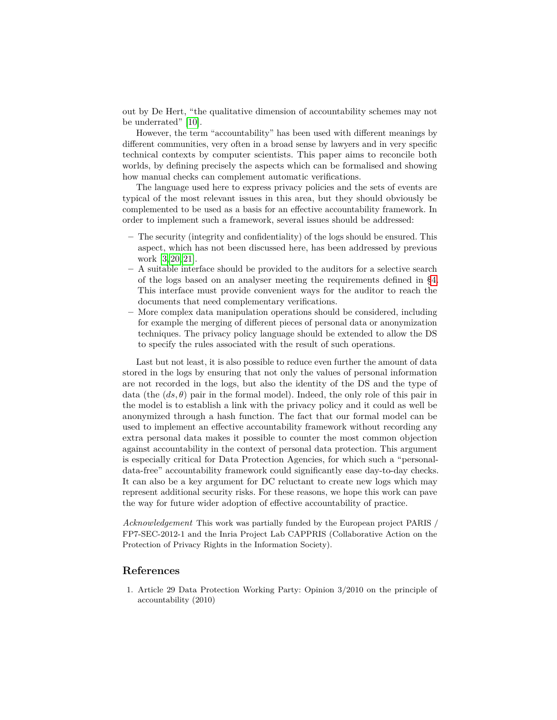out by De Hert, "the qualitative dimension of accountability schemes may not be underrated" [\[10\]](#page-16-16).

However, the term "accountability" has been used with different meanings by different communities, very often in a broad sense by lawyers and in very specific technical contexts by computer scientists. This paper aims to reconcile both worlds, by defining precisely the aspects which can be formalised and showing how manual checks can complement automatic verifications.

The language used here to express privacy policies and the sets of events are typical of the most relevant issues in this area, but they should obviously be complemented to be used as a basis for an effective accountability framework. In order to implement such a framework, several issues should be addressed:

- **–** The security (integrity and confidentiality) of the logs should be ensured. This aspect, which has not been discussed here, has been addressed by previous work [\[3,](#page-16-17) [20,](#page-16-18) [21\]](#page-16-19).
- **–** A suitable interface should be provided to the auditors for a selective search of the logs based on an analyser meeting the requirements defined in [§4.](#page-10-0) This interface must provide convenient ways for the auditor to reach the documents that need complementary verifications.
- **–** More complex data manipulation operations should be considered, including for example the merging of different pieces of personal data or anonymization techniques. The privacy policy language should be extended to allow the DS to specify the rules associated with the result of such operations.

Last but not least, it is also possible to reduce even further the amount of data stored in the logs by ensuring that not only the values of personal information are not recorded in the logs, but also the identity of the DS and the type of data (the  $(ds, \theta)$  pair in the formal model). Indeed, the only role of this pair in the model is to establish a link with the privacy policy and it could as well be anonymized through a hash function. The fact that our formal model can be used to implement an effective accountability framework without recording any extra personal data makes it possible to counter the most common objection against accountability in the context of personal data protection. This argument is especially critical for Data Protection Agencies, for which such a "personaldata-free" accountability framework could significantly ease day-to-day checks. It can also be a key argument for DC reluctant to create new logs which may represent additional security risks. For these reasons, we hope this work can pave the way for future wider adoption of effective accountability of practice.

*Acknowledgement* This work was partially funded by the European project PARIS / FP7-SEC-2012-1 and the Inria Project Lab CAPPRIS (Collaborative Action on the Protection of Privacy Rights in the Information Society).

## **References**

<span id="page-15-0"></span>1. Article 29 Data Protection Working Party: Opinion 3/2010 on the principle of accountability (2010)